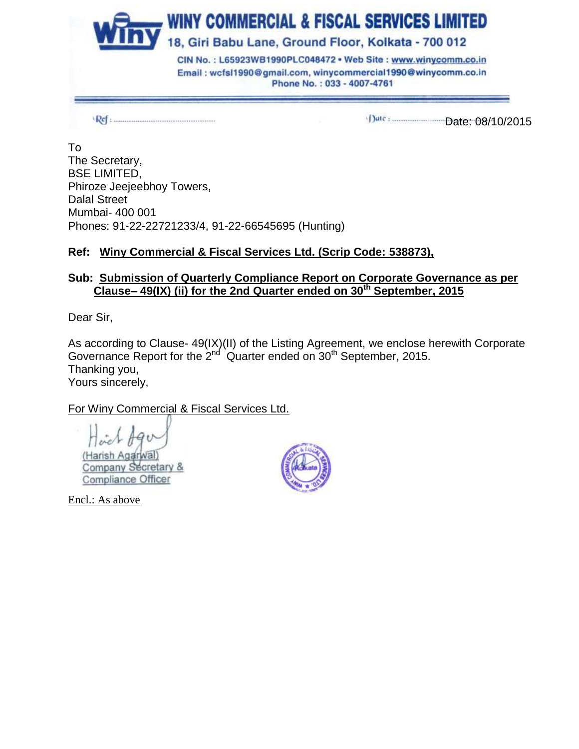

1)ate: 08/10/2015

To The Secretary, BSE LIMITED, Phiroze Jeejeebhoy Towers, Dalal Street Mumbai- 400 001 Phones: 91-22-22721233/4, 91-22-66545695 (Hunting)

# **Ref: Winy Commercial & Fiscal Services Ltd. (Scrip Code: 538873),**

### **Sub: Submission of Quarterly Compliance Report on Corporate Governance as per Clause– 49(IX) (ii) for the 2nd Quarter ended on 30th September, 2015**

Dear Sir,

As according to Clause- 49(IX)(II) of the Listing Agreement, we enclose herewith Corporate Governance Report for the  $2^{nd}$  Quarter ended on  $30^{th}$  September, 2015. Thanking you, Yours sincerely,

# For Winy Commercial & Fiscal Services Ltd.

(Harish Agarwal) Company Secretary & Compliance Officer

Encl.: As above